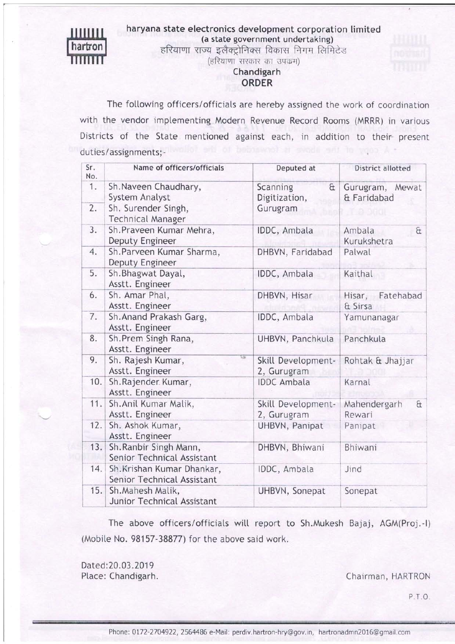### haryana state electronics development corporation limited (a state government undertaking)



हरियाणा राज्य इलैक्ट्रोनिक्स विकास निगम लिमिटेड (हरियाणा सरकार का उपक्रम)

# Chandigarh

## ORDER

The following officers/officials are hereby assigned the work of coordination with the vendor imptementing Modern Revenue Record Rooms (MRRR) in various Districts of the State mentioned against each, in addition to their present A copy of the libere is forwarded duties/assignments;-

| Sr.<br>No. | Name of officers/officials                               | Deputed at                            | District allotted                  |
|------------|----------------------------------------------------------|---------------------------------------|------------------------------------|
| 1.         | Sh. Naveen Chaudhary,<br>System Analyst                  | Scanning<br>$\alpha$<br>Digitization, | Gurugram, Mewat<br>& Faridabad     |
| 2.         | Sh. Surender Singh,<br><b>Technical Manager</b>          | Gurugram                              |                                    |
| 3.         | Sh.Praveen Kumar Mehra,<br>Deputy Engineer               | IDDC, Ambala                          | Ambala<br>$\alpha$<br>Kurukshetra  |
| 4.         | Sh.Parveen Kumar Sharma,<br>Deputy Engineer              | DHBVN, Faridabad                      | Palwal                             |
| 5.         | Sh. Bhagwat Dayal,<br>Asstt. Engineer                    | IDDC, Ambala                          | Kaithal                            |
| 6.         | Sh. Amar Phal,<br>Asstt. Engineer                        | DHBVN, Hisar                          | Hisar, Fatehabad<br>& Sirsa        |
| 7.         | Sh. Anand Prakash Garg,<br>Asstt. Engineer               | IDDC, Ambala                          | Yamunanagar                        |
| 8.         | Sh. Prem Singh Rana,<br>Asstt. Engineer                  | UHBVN, Panchkula                      | Panchkula                          |
| 9.         | <b>List</b><br>Sh. Rajesh Kumar,<br>Asstt. Engineer      | Skill Development-<br>2, Gurugram     | Rohtak & Jhajjar                   |
| 10.        | Sh.Rajender. Kumar,<br>Asstt. Engineer                   | <b>IDDC</b> Ambala                    | Karnal                             |
| 11.        | Sh. Anil Kumar Malik,<br>Asstt. Engineer                 | Skill Development-<br>2, Gurugram     | Mahendergarh<br>$\theta$<br>Rewari |
| 12.        | Sh. Ashok Kumar,<br>Asstt. Engineer                      | UHBVN, Panipat                        | Panipat                            |
| 13.        | Sh. Ranbir Singh Mann,<br>Senior Technical Assistant     | DHBVN, Bhiwani                        | Bhiwani                            |
| 14.        | Sh. Krishan Kumar Dhankar,<br>Senior Technical Assistant | IDDC, Ambala                          | Jind                               |
| 15.        | Sh. Mahesh Malik,<br>Junior Technical Assistant          | UHBVN, Sonepat                        | Sonepat                            |

The above officers/officiats witt report to Sh.Mukesh Bajaj, AGM(Proj.-l) (Mobite No. 98157-38877) for the above said work.

Dated:20.03.2019

Place: Chandigarh. Chairman, HARTRON

P. r.o.